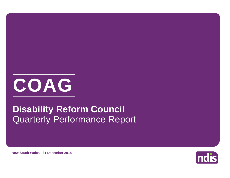

# Quarterly Performance Report **Disability Reform Council**



**New South Wales - 31 December 2018**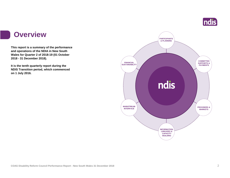

## **Overview**

**This report is a summary of the performance and operations of the NDIA in New South Wales for Quarter 2 of 2018-19 (01 October 2018 - 31 December 2018).**

**It is the tenth quarterly report during the NDIS Transition period, which commenced on 1 July 2016.** 

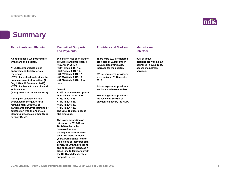

# **Summary**

| <b>Participants and Planning</b>                                                                                                                                                                                                                                                                                                                                                                                                                                                                                                                                            | <b>Committed Supports</b><br>and Payments                                                                                                                                                                                                                                                                                                                                                                                                                                                                                                                                                                                                                                                                                                                                                                                                          | <b>Providers and Markets</b>                                                                                                                                                                                                                                                                                                                  | <b>Mainstream</b><br><b>Interface</b>                                                                 |  |
|-----------------------------------------------------------------------------------------------------------------------------------------------------------------------------------------------------------------------------------------------------------------------------------------------------------------------------------------------------------------------------------------------------------------------------------------------------------------------------------------------------------------------------------------------------------------------------|----------------------------------------------------------------------------------------------------------------------------------------------------------------------------------------------------------------------------------------------------------------------------------------------------------------------------------------------------------------------------------------------------------------------------------------------------------------------------------------------------------------------------------------------------------------------------------------------------------------------------------------------------------------------------------------------------------------------------------------------------------------------------------------------------------------------------------------------------|-----------------------------------------------------------------------------------------------------------------------------------------------------------------------------------------------------------------------------------------------------------------------------------------------------------------------------------------------|-------------------------------------------------------------------------------------------------------|--|
| An additional 5,126 participants<br>with plans this quarter.<br>At 31 December 2018, plans<br>approved and ECEI referrals<br>represent:<br>•77% bilateral estimate since the<br>commencement of transition (1)<br>July 2016 - 31 December 2018)<br>•77% of scheme to date bilateral<br>estimate met<br>(1 July 2013 - 31 December 2018)<br><b>Participant satisfaction has</b><br>decreased in the quarter but<br>remains high, with 87% of<br>participants surveyed rating their<br>satisfaction with the Agency's<br>planning process as either 'Good'<br>or 'Very Good'. | \$6.5 billion has been paid to<br>providers and participants:<br>• \$37.4m in 2013-14,<br>• \$141.3m in 2014-15,<br>• \$257.4m in 2015-16,<br>$\cdot$ \$1,212.6m in 2016-17,<br>• \$3,064.6m in 2017-18,<br>• \$1,820.6m in 2018-19 to<br>date.<br>Overall,<br>• 74% of committed supports<br>were utilised in 2013-14,<br>• 77% in 2014-15,<br>• 74% in 2015-16,<br>• 68% in 2016-17,<br>• 71% in 2017-18.<br>The 2018-19 experience is<br>still emerging.<br>The lower proportion of<br>utilisation in 2016-17 and<br>2017-18 reflects the<br>increased amount of<br>participants who received<br>their first plans in these<br>years. Participants tend to<br>utilise less of their first plan,<br>compared with their second<br>and subsequent plans, as it<br>takes time to familiarise with<br>the NDIS and decide which<br>supports to use. | There were 8,924 registered<br>providers at 31 December<br>2018, representing a 2%<br>increase for the quarter.<br>58% of registered providers<br>were active at 31 December<br>2018.<br>44% of registered providers<br>are individuals/sole traders.<br>25% of registered providers<br>are receiving 85-95% of<br>payments made by the NDIA. | 92% of active<br>participants with a plan<br>approved in 2018-19 Q2<br>access mainstream<br>services. |  |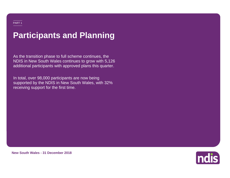# **Participants and Planning**

As the transition phase to full scheme continues, the NDIS in New South Wales continues to grow with 5,126 additional participants with approved plans this quarter.

**3,061** receiving support for the first time.In total, over 98,000 participants are now being supported by the NDIS in New South Wales, with 32%



**New South Wales - 31 December 2018**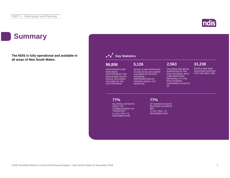# **Summary**

**The NDIS is fully operational and available in all areas of New South Wales.**



## **Key Statistics**

## **98,858**

PARTICIPANTS ARE NOW BEING SUPPORTED BY THE NDIS IN NEW SOUTH WALES, INCLUDING CHILDREN IN THE ECEI PROGRAM

INITIAL PLANS APPROVED IN 2018-19 Q2, EXCLUDING CHILDREN IN THE ECEI PROGRAM (REPRESENTING 6% GROWTH SINCE LAST QUARTER)

**5,126**

## **2,563**

 $Q2$ 

CHILDREN ARE BEING SUPPORTED IN THE ECEI PROGRAM, WITH 1,898 ADDITIONAL REFERRALS TO THE ECEI GATEWAY CONFIRMED IN 2018-19 **31,238**

PEOPLE ARE NOW RECEIVING SUPPORT FOR THE FIRST TIME

## **77%**

BILATERAL ESTIMATE SINCE THE COMMENCEMENT OF **TRANSITION** (1 JULY 2016 - 31 DECEMBER 2018)

## **77%**

OF SCHEME TO DATE BILATERAL ESTIMATE MET (1 JULY 2013 - 31 DECEMBER 2018)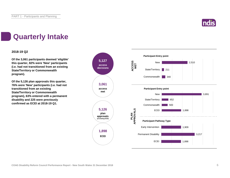

# **Quarterly Intake**

## **2018-19 Q2**

**Of the 3,061 participants deemed 'eligible' this quarter, 82% were 'New' participants (i.e. had not transitioned from an existing State/Territory or Commonwealth program).**

**Of the 5,126 plan approvals this quarter, 76% were 'New' participants (i.e. had not transitioned from an existing State/Territory or Commonwealth program), 63% entered with a permanent disability and 225 were previously confirmed as ECEI at 2018-19 Q1.**

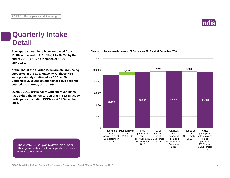There were 24,222 plan reviews this quarter. This figure relates to all participants who have

entered the scheme.

PART 1 - Participants and Planning

# **Quarterly Intake Detail**

**Plan approval numbers have increased from 91,169 at the end of 2018-19 Q1 to 96,295 by the end of 2018-19 Q2, an increase of 5,126 approvals.**

**At the end of the quarter, 2,563 are children being supported in the ECEI gateway. Of these, 665 were previously confirmed as ECEI at 30 September 2018 and an additional 1,898 children entered the gateway this quarter.**

**Overall, 2,230 participants with approved plans have exited the Scheme, resulting in 96,628 active participants (including ECEI) as at 31 December 2018.**

**Change in plan approvals between 30 September 2018 and 31 December 2018**



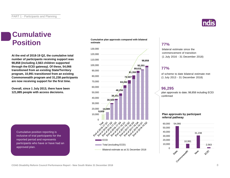# **Cumulative Position**

**At the end of 2018-19 Q2, the cumulative total number of participants receiving support was 98,858 (including 2,563 children supported through the ECEI gateway). Of these, 54,066 transitioned from an existing State/Territory program, 10,991 transitioned from an existing Commonwealth program and 31,238 participants are now receiving support for the first time.**

**Overall, since 1 July 2013, there have been 121,885 people with access decisions.**

Cumulative position reporting is inclusive of trial participants for the reported period and represents participants who have or have had an approved plan.

## **Cumulative plan approvals compared with bilateral estimate**





bilateral estimate since the commencement of transition (1 July 2016 - 31 December 2018)

## **77%**

of scheme to date bilateral estimate met (1 July 2013 - 31 December 2018)

## **96,295**

plan approvals to date; 98,858 including ECEI confirmed

## **Plan approvals by participant referral pathway**



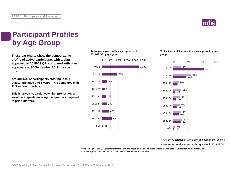

# **Participant Profiles by Age Group**

**These bar charts show the demographic profile of active participants with a plan approved in 2018-19 Q2, compared with plan approvals at 30 September 2018, by age group.**

**Around 44% of participants entering in this quarter are aged 0 to 6 years. This compares with 11% in prior quarters.**

**This is driven by a relatively high proportion of 'new' participants entering this quarter compared to prior quarters.**

**Active participants with a plan approved in 2018-19 Q2 by age group**



**% of active participants with a plan approved by age group**



■% of active participants with a plan approved in prior quarters

■% of active participants with a plan approved in 2018-19 Q2

Note: The age eligibility requirements for the NDIS are based on the age as at the access request date. Participants with their initial plan approved aged 65+ have turned 65 since their access request was received.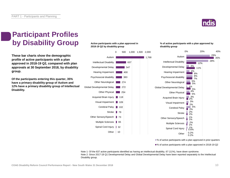

# **Participant Profiles by Disability Group**

**These bar charts show the demographic profile of active participants with a plan approved in 2018-19 Q2, compared with plan approvals at 30 September 2018, by disability group.**

**Of the participants entering this quarter, 35% have a primary disability group of Autism and 12% have a primary disability group of Intellectual Disability.**

## **Active participants with a plan approved in 2018-19 Q2 by disability group**



**% of active participants with a plan approved by disability group**



■% of active participants with a plan approved in prior quarters

■% of active participants with a plan approved in 2018-19 Q2

Note 1: Of the 637 active participants identified as having an intellectual disability, 67 (11%), have down syndrome. Note 2: Since 2017-18 Q1 Developmental Delay and Global Developmental Delay have been reported separately to the Intellectual Disability group.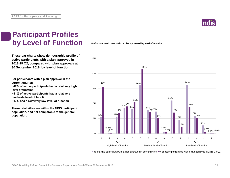

# **Participant Profiles by Level of Function**

**These bar charts show demographic profile of active participants with a plan approved in 2018-19 Q2, compared with plan approvals at 30 September 2018, by level of function.**

**For participants with a plan approval in the current quarter:** 

**• 42% of active participants had a relatively high level of function**

**• 41% of active participants had a relatively moderate level of function** 

**• 17% had a relatively low level of function**

**These relativities are within the NDIS participant population, and not comparable to the general population.**

**% of active participants with a plan approved by level of function**



■% of active participants with a plan approved in prior quarters ■% of active participants with a plan approved in 2018-19 Q2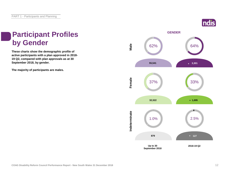# Indis

# **Participant Profiles by Gender**

**These charts show the demographic profile of active participants with a plan approved in 2018- 19 Q2, compared with plan approvals as at 30 September 2018, by gender.**

**The majority of participants are males.**

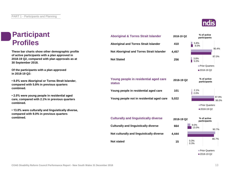## **Participant Profiles**

**These bar charts show other demographic profile of active participants with a plan approved in 2018-19 Q2, compared with plan approvals as at 30 September 2018.**

**Of the participants with a plan approved in 2018-19 Q2:**

**• 8.0% were Aboriginal or Torres Strait Islander, compared with 5.8% in previous quarters combined.**

**• 2.0% were young people in residential aged care, compared with 2.1% in previous quarters combined.**

**• 13.0% were culturally and linguistically diverse, compared with 9.0% in previous quarters combined.**

## **4,457 256 101 5,022 Not Aboriginal and Torres Strait Islander Not Stated Young people in residential aged care Young people not in residential aged care Young people in residential aged care status Aboriginal and Torres Strait Islander 2018-19 Q2 % of active**





**Aboriginal & Torres Strait Islander 2018-19 Q2 % of active participants**

**410**

**15**



2018-19 Q2

**participants**



COAG Disability Reform Council Performance Report - New South Wales 31 December 2018 13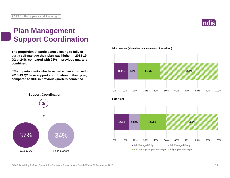

# **Plan Management Support Coordination**

**The proportion of participants electing to fully or partly self-manage their plan was higher in 2018-19 Q2 at 24%, compared with 22% in previous quarters combined.**

**37% of participants who have had a plan approved in 2018-19 Q2 have support coordination in their plan, compared to 34% in previous quarters combined.**



**Prior quarters (since the commencement of transition)**

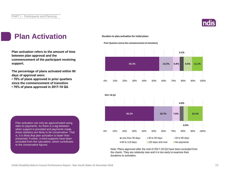

# **Plan Activation**

**Plan activation refers to the amount of time between plan approval and the commencement of the participant receiving support.**

**The percentage of plans activated within 90 days of approval were:** 

**• 76% of plans approved in prior quarters since the commencement of transition**

**• 76% of plans approved in 2017-18 Q4.**



### **Prior Quarters (since the commencement of transition)**





Note: Plans approved after the end of 2017-18 Q4 have been excluded from the charts. They are relatively new and it is too early to examine their durations to activation.

Plan activation can only be approximated using data on payments. As there is a lag between when support is provided and payments made, these statistics are likely to be conservative. That is, it is likely that plan activation is faster than presented. Further, in-kind supports have been excluded from the calculation, which contributes to the conservative figures.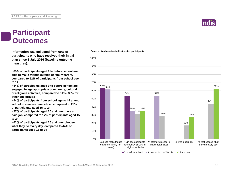## **Participant Outcomes**

**Information was collected from 99% of participants who have received their initial plan since 1 July 2016 (baseline outcome measures).**

**• 63% of participants aged 0 to before school are able to make friends outside of family/carers, compared to 62% of participants from school age to 14**

**• 54% of participants aged 0 to before school are engaged in age appropriate community, cultural or religious activities, compared to 31% - 35% for other age groups**

**• 54% of participants from school age to 14 attend school in a mainstream class, compared to 29% of participants aged 15 to 24**

**• 27% of participants aged 25 and over have a paid job, compared to 17% of participants aged 15 to 24**

**• 62% of participants aged 25 and over choose what they do every day, compared to 44% of participants aged 15 to 24**

### **Selected key baseline indicators for participants**



 $\Box$  0 to before school  $\Box$  School to 14  $\Box$  15 to 24  $\Box$  25 and over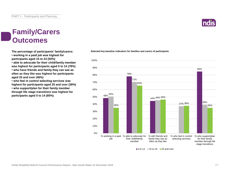# **Family/Carers Outcomes**

**• working in a paid job was highest for participants aged 15 to 24 (50%)**

**• able to advocate for their child/family member was highest for participants aged 0 to 14 (78%) • who have friends and family they can see as often as they like was highest for participants aged 25 and over (46%)**

**• who feel in control selecting services was highest for participants aged 25 and over (38%) • who support/plan for their family member through life stage transitions was highest for participants aged 0 to 14 (85%)**



**The percentage of participants' family/carers: Selected key baseline indicators for families and carers of participants**

 $\blacksquare$ 0 to 14  $\blacksquare$  15 to 24  $\blacksquare$  25 and over

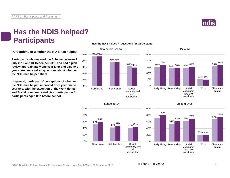

# **Has the NDIS helped? Participants**

**Perceptions of whether the NDIS has helped.**

**Participants who entered the Scheme between 1 July 2016 and 31 December 2016 and had a plan review approximately one year later and also two years later were asked questions about whether the NDIS had helped them.**

**In general, participants' perceptions of whether the NDIS has helped improved from year one to year two, with the exception of the Work domain and Social community and civic participation for participants aged 0 to before school.**

## **"Has the NDIS helped?" questions for participants**







## 25 and over

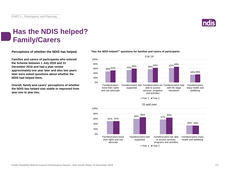

# **Has the NDIS helped? Family/Carers**

**Perceptions of whether the NDIS has helped.**

**Families and carers of participants who entered the Scheme between 1 July 2016 and 31 December 2016 and had a plan review approximately one year later and also two years later were asked questions about whether the NDIS had helped them.**

**Overall, family and carers' perceptions of whether the NDIS has helped was stable or improved from year one to year two.**



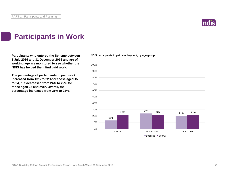

# **Participants in Work**

Participants who entered the Scheme between NDIS participants in paid employment, by age group. **1 July 2016 and 31 December 2016 and are of working age are monitored to see whether the NDIS has helped them find paid work.**

**The percentage of participants in paid work increased from 13% to 22% for those aged 15 to 24, but decreased from 24% to 22% for those aged 25 and over. Overall, the percentage increased from 21% to 22%.**

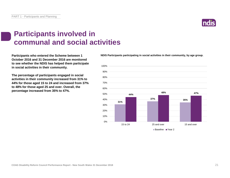# **Participants involved in communal and social activities**

**Participants who entered the Scheme between 1 October 2016 and 31 December 2016 are monitored to see whether the NDIS has helped them participate in social activities in their community.**

**The percentage of participants engaged in social activities in their community increased from 31% to 44% for those aged 15 to 24 and increased from 37% to 48% for those aged 25 and over. Overall, the percentage increased from 35% to 47%.**

**NDIS Participants participating in social activities in their community, by age group.**



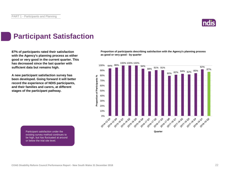

# **Participant Satisfaction**

**87% of participants rated their satisfaction with the Agency's planning process as either good or very good in the current quarter. This has decreased since the last quarter with sufficient data but remains high.** 

**A new participant satisfaction survey has been developed. Going forward it will better record the experience of NDIS participants, and their families and carers, at different stages of the participant pathway.**

**Proportion of participants describing satisfaction with the Agency's planning process as good or very good - by quarter**



Participant satisfaction under the existing survey method continues to be high, but has fluctuated at around or below the trial site level.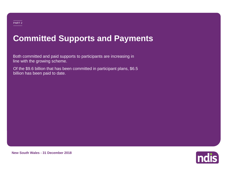# **Committed Supports and Payments**

Both committed and paid supports to participants are increasing in line with the growing scheme.

Of the \$9.6 billion that has been committed in participant plans, \$6.5 billion has been paid to date.



**New South Wales - 31 December 2018**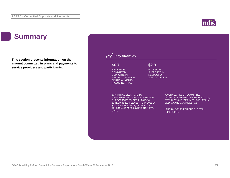# **ndis**

# **Summary**

**This section presents information on the amount committed in plans and payments to service providers and participants.**

## **Key Statistics**

## **\$6.7**

BILLION OF **COMMITTED** SUPPORTS IN RESPECT OF PRIOR FINANCIAL YEARS INCLUDING TRIAL

## **\$2.9**

BILLION OF **SUPPORTS IN** RESPECT OF 2018-19 TO DATE

\$37.4M HAS BEEN PAID TO PROVIDERS AND PARTICIPANTS FOR SUPPORTS PROVIDED IN 2013-14, \$141.3M IN 2014-15, \$257.4M IN 2015-16, \$1,212.6M IN 2016-17, \$3,064.6M IN 2017-18 AND \$1,820.6M IN 2018-19 TO DATE

OVERALL, 74% OF COMMITTED SUPPORTS WERE UTILISED IN 2013-14, 77% IN 2014-15, 74% IN 2015-16, 68% IN 2016-17 AND 71% IN 2017-18.

THE 2018-19 EXPERIENCE IS STILL EMERGING.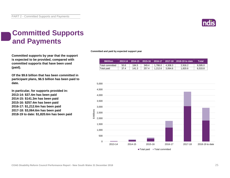

# **Committed Supports and Payments**

**Committed supports by year that the support is expected to be provided, compared with committed supports that have been used (paid).**

**Of the \$9.6 billion that has been committed in participant plans, \$6.5 billion has been paid to date.**

**In particular, for supports provided in: 2013-14: \$37.4m has been paid 2014-15: \$141.3m has been paid 2015-16: \$257.4m has been paid 2016-17: \$1,212.6m has been paid 2017-18: \$3,064.6m has been paid 2018-19 to date: \$1,820.6m has been paid** **Committed and paid by expected support year**

| <b>SMillion</b> | $2013 - 14$ | 2014-15   2015-16   2016-17 |       |         |         | $2017-18$ 2018-19 to date | Total'  |
|-----------------|-------------|-----------------------------|-------|---------|---------|---------------------------|---------|
| Total committed | 50.6        | 184.5                       | 349.4 | 1.786.0 | 4.308.3 | 2.916.2                   | 9.595.0 |
| Total paid      | 37.4        | 141.3                       | 257.4 | 1.212.6 | 3.064.6 | 1.820.6                   | 6.533.8 |

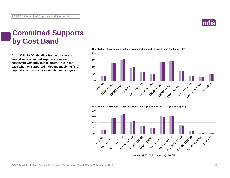

# **Committed Supports by Cost Band**

**As at 2018-19 Q2, the distribution of average annualised committed supports remained consistent with previous quarters. This is the case whether Supported Independent Living (SIL) supports are included or excluded in the figures.**



**Distribution of average annualised committed supports by cost band (including SIL)** 

**Distribution of average annualised committed supports by cost band (excluding SIL)** 

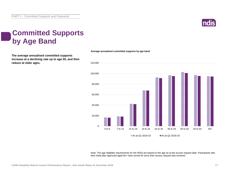

# **Committed Supports by Age Band**

**The average annualised committed supports increase at a declining rate up to age 55, and then reduce at older ages.**



**Average annualised committed supports by age band**

Note: The age eligibility requirements for the NDIS are based on the age as at the access request date. Participants with their initial plan approved aged 65+ have turned 65 since their access request was received.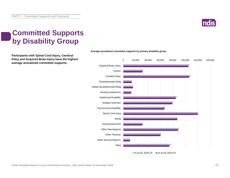

# **Committed Supports by Disability Group**

**Participants with Spinal Cord Injury, Cerebral Palsy and Acquired Brain Injury have the highest average annualised committed supports.**



### **Average annualised committed supports by primary disability group**

As at Q1 2018-19  $\blacksquare$  As at Q2 2018-19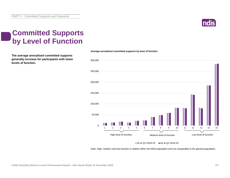

# **Committed Supports by Level of Function**

**The average annualised committed supports generally increase for participants with lower levels of function.**



**Average annualised committed supports by level of function**

As at Q1 2018-19  $\blacksquare$  As at Q2 2018-19

Note: High, medium and low function is relative within the NDIS population and not comparable to the general population.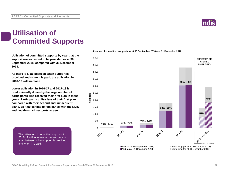

# **Utilisation of Committed Supports**

**Utilisation of committed supports by year that the support was expected to be provided as at 30 September 2018, compared with 31 December 2018.** 

**As there is a lag between when support is provided and when it is paid, the utilisation in 2018-19 will increase.**

**Lower utilisation in 2016-17 and 2017-18 is predominantly driven by the large number of participants who received their first plan in these years. Participants utilise less of their first plan compared with their second and subsequent plans, as it takes time to familiarise with the NDIS and decide which supports to use.**

The utilisation of committed supports in 2018-19 will increase further as there is a lag between when support is provided and when it is paid.

## **Utilisation of committed supports as at 30 September 2018 and 31 December 2018**

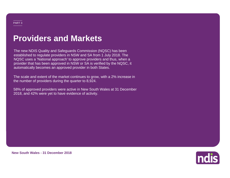# **Providers and Markets**

The new NDIS Quality and Safeguards Commission (NQSC) has been established to regulate providers in NSW and SA from 1 July 2018. The NQSC uses a 'National approach' to approve providers and thus, when a provider that has been approved in NSW or SA is verified by the NQSC, it automatically becomes an approved provider in both States.

The scale and extent of the market continues to grow, with a 2% increase in the number of providers during the quarter to 8,924.

58% of approved providers were active in New South Wales at 31 December 2018, and 42% were yet to have evidence of activity.

ndis

**New South Wales - 31 December 2018**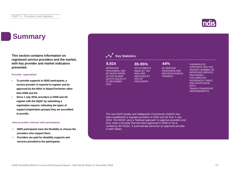# **Summary**

**This section contains information on registered service providers and the market, with key provider and market indicators presented.**

### **Provider registration**

- **To provide supports to NDIS participants, a service provider is required to register and be approved by the NDIA in States/Territories other than NSW and SA.**
- **Since 1 July 2018, providers in NSW and SA register with the NQSC by submitting a registration request, indicating the types of support (registration groups) they are accredited to provide.**

### **How providers interact with participants**

- **NDIS participants have the flexibility to choose the providers who support them.**
- **Providers are paid for disability supports and services provided to the participants.**

## **Key Statistics**

## **8,924 85-95% 44%**

APPROVED PROVIDERS, 58% OF WHICH WERE ACTIVE IN NEW SOUTH WALES AT 31 DECEMBER 2018

OF SERVICE PROVIDERS ARE INDIVIDUALS/SOLE TRADERS

### THERAPEUTIC SUPPORTS HAS THE HIGHEST NUMBER OF APPROVED SERVICE PROVIDERS, FOLLOWED BY HOUSEHOLD TASKS AND ASSISTANCE **WITH** TRAVEL/TRANSPORT ARRANGEMENTS

The new NDIS Quality and Safeguards Commission (NQSC) has been established to regulate providers in NSW and SA from 1 July 2018. The NQSC uses a 'National approach' to approve providers and thus, when a provider that has been approved in NSW or SA is verified by the NQSC, it automatically becomes an approved provider in both States.

OF PAYMENTS MADE BY THE NDIA ARE RECEIVED BY 25% OF **PROVIDERS** 

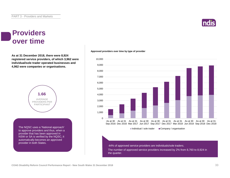## **Providers over time**

**As at 31 December 2018, there were 8,924 registered service providers, of which 3,962 were individual/sole trader operated businesses and 4,962 were companies or organisations.**



The NQSC uses a 'National approach' to approve providers and thus, when a provider that has been approved in NSW or SA is verified by the NQSC, it automatically becomes an approved provider in both States.

## **Approved providers over time by type of provider**



44% of approved service providers are individuals/sole traders.

The number of approved service providers increased by 2% from 8,760 to 8,924 in the quarter.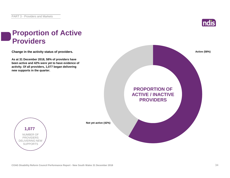

# **Proportion of Active Providers**

**Change in the activity status of providers.**

**As at 31 December 2018, 58% of providers have been active and 42% were yet to have evidence of activity. Of all providers, 1,077 began delivering new supports in the quarter.**





**Not yet active (42%)**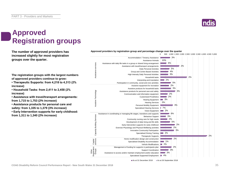

# **Approved Registration groups**

**The number of approved providers has Approved providers by registration group and percentage change over the quarter increased slightly for most registration groups over the quarter.**

10% Assistance Animals ssistance services Assistance with daily life tasks in a group or shared living arrangement 6% Assistance services Assistance with travel/transport arrangements 2% 5% Daily Personal Activities 4% Group and Centre Based Activities 3% High Intensity Daily Personal Activities 2% Household tasks Interpreting and translation 2% Participation in community, social and civic activities 5% 2% Assistive equipment for recreation 3% Assistive products for household tasks Assistive Technology Assistive Technology Assistance products for personal care and safety 3% 2% Communication and information equipment 2% Customised Prosthetics Hearing Equipment **College** 3% 0% Hearing Services 3% Personal Mobility Equipment Specialised Hearing Services | 7% Vision Equipment  $\blacksquare$  2% Assistance in coordinating or managing life stages, transitions and supports 6% Capacity Building Services Capacity Building Service Behaviour Support 3% 2% Community nursing care for high needs 5% Development of daily living and life skills 2% Early Intervention supports for early childhood 2% Exercise Physiology and Physical Wellbeing activities 3% Innovative Community Participation  $= 2%$ Specialised Driving Training 2% Therapeutic Supports 2% Home modification design and construction Capital services  $-1%$ Specialised Disability Accommodation Vehicle Modifications 2% -2% Management of funding for supports in participants plan Registration Groups Support Coordination 3% Other 3% Assistance to access and/or maintain employment and/or education Specialised Supported Employment 4%

Accommodation / Tenancy Assistance

3%

0 500 1,000 1,500 2,000 2,500 3,000 3,500 4,000 4,500 5,000

**The registration groups with the largest numbers of approved providers continue to grow:**

**• Therapeutic Supports: from 4,218 to 4,313 (2% increase)**

**• Household Tasks: from 2,411 to 2,458 (2% increase)**

**• Assistance with travel/transport arrangements: from 1,715 to 1,753 (2% increase)**

**• Assistance products for personal care and safety: from 1,335 to 1,379 (3% increase)**

**• Early Intervention supports for early childhood: from 1,311 to 1,340 (2% increase)**

As at 31 December 2018 As at 30 September 2018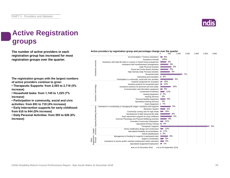

# **Active Registration groups**

**The number of active providers in each registration group has increased for most registration groups over the quarter.**

**The registration groups with the largest numbers of active providers continue to grow:**

**• Therapeutic Supports: from 2,593 to 2,718 (5% increase)**

**• Household tasks: from 1,145 to 1,225 (7% increase)**

**• Participation in community, social and civic activities: from 691 to 719 (4% increase)**

**• Early Intervention supports for early childhood: from 616 to 644 (5% increase)**

**• Daily Personal Activities: from 593 to 626 (6% increase)**

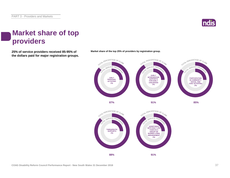

# **Market share of top providers**

**25% of service providers received 85-95% of Market share of the top 25% of providers by registration group. the dollars paid for major registration groups.**



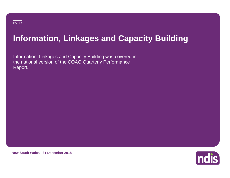# **Information, Linkages and Capacity Building**

Information, Linkages and Capacity Building was covered in the national version of the COAG Quarterly Performance Report.



**New South Wales - 31 December 2018**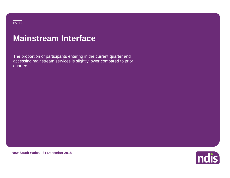## PART 5

# **Mainstream Interface**

The proportion of participants entering in the current quarter and accessing mainstream services is slightly lower compared to prior quarters.

**New South Wales - 31 December 2018**

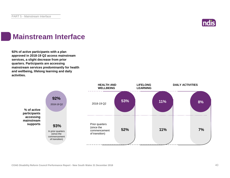

# **Mainstream Interface**

**92% of active participants with a plan approved in 2018-19 Q2 access mainstream services, a slight decrease from prior quarters. Participants are accessing mainstream services predominantly for health and wellbeing, lifelong learning and daily activities.**